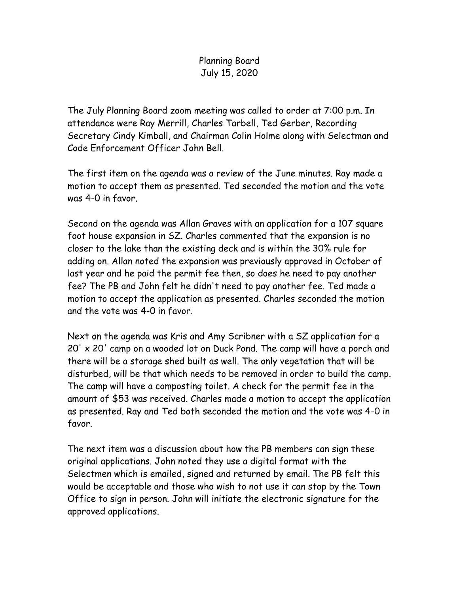## Planning Board July 15, 2020

The July Planning Board zoom meeting was called to order at 7:00 p.m. In attendance were Ray Merrill, Charles Tarbell, Ted Gerber, Recording Secretary Cindy Kimball, and Chairman Colin Holme along with Selectman and Code Enforcement Officer John Bell.

The first item on the agenda was a review of the June minutes. Ray made a motion to accept them as presented. Ted seconded the motion and the vote was 4-0 in favor.

Second on the agenda was Allan Graves with an application for a 107 square foot house expansion in SZ. Charles commented that the expansion is no closer to the lake than the existing deck and is within the 30% rule for adding on. Allan noted the expansion was previously approved in October of last year and he paid the permit fee then, so does he need to pay another fee? The PB and John felt he didn't need to pay another fee. Ted made a motion to accept the application as presented. Charles seconded the motion and the vote was 4-0 in favor.

Next on the agenda was Kris and Amy Scribner with a SZ application for a 20' x 20' camp on a wooded lot on Duck Pond. The camp will have a porch and there will be a storage shed built as well. The only vegetation that will be disturbed, will be that which needs to be removed in order to build the camp. The camp will have a composting toilet. A check for the permit fee in the amount of \$53 was received. Charles made a motion to accept the application as presented. Ray and Ted both seconded the motion and the vote was 4-0 in favor.

The next item was a discussion about how the PB members can sign these original applications. John noted they use a digital format with the Selectmen which is emailed, signed and returned by email. The PB felt this would be acceptable and those who wish to not use it can stop by the Town Office to sign in person. John will initiate the electronic signature for the approved applications.